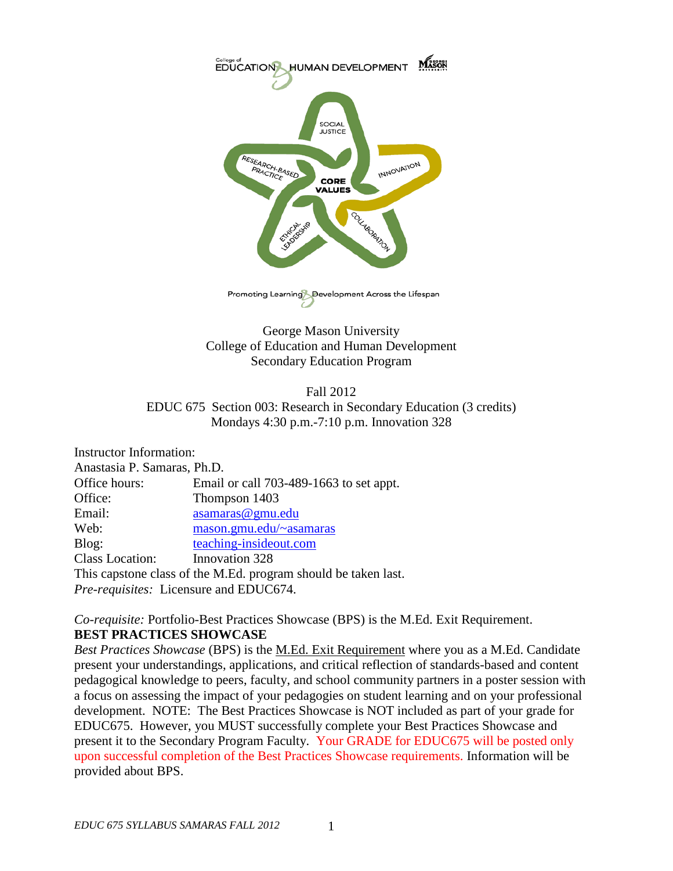

Promoting Learning Development Across the Lifespan

George Mason University College of Education and Human Development Secondary Education Program

#### Fall 2012 EDUC 675 Section 003: Research in Secondary Education (3 credits) Mondays 4:30 p.m.-7:10 p.m. Innovation 328

| Instructor Information:                                        |                                         |  |
|----------------------------------------------------------------|-----------------------------------------|--|
| Anastasia P. Samaras, Ph.D.                                    |                                         |  |
| Office hours:                                                  | Email or call 703-489-1663 to set appt. |  |
| Office:                                                        | Thompson 1403                           |  |
| Email:                                                         | asamaras@gmu.edu                        |  |
| Web:                                                           | mason.gmu.edu/~asamaras                 |  |
| Blog:                                                          | teaching-insideout.com                  |  |
| <b>Class Location:</b>                                         | Innovation 328                          |  |
| This capstone class of the M.Ed. program should be taken last. |                                         |  |
| Pre-requisites: Licensure and EDUC674.                         |                                         |  |

*Co-requisite:* Portfolio-Best Practices Showcase (BPS) is the M.Ed. Exit Requirement. **BEST PRACTICES SHOWCASE**

*Best Practices Showcase* (BPS) is the M.Ed. Exit Requirement where you as a M.Ed. Candidate present your understandings, applications, and critical reflection of standards-based and content pedagogical knowledge to peers, faculty, and school community partners in a poster session with a focus on assessing the impact of your pedagogies on student learning and on your professional development. NOTE: The Best Practices Showcase is NOT included as part of your grade for EDUC675. However, you MUST successfully complete your Best Practices Showcase and present it to the Secondary Program Faculty. Your GRADE for EDUC675 will be posted only upon successful completion of the Best Practices Showcase requirements. Information will be provided about BPS.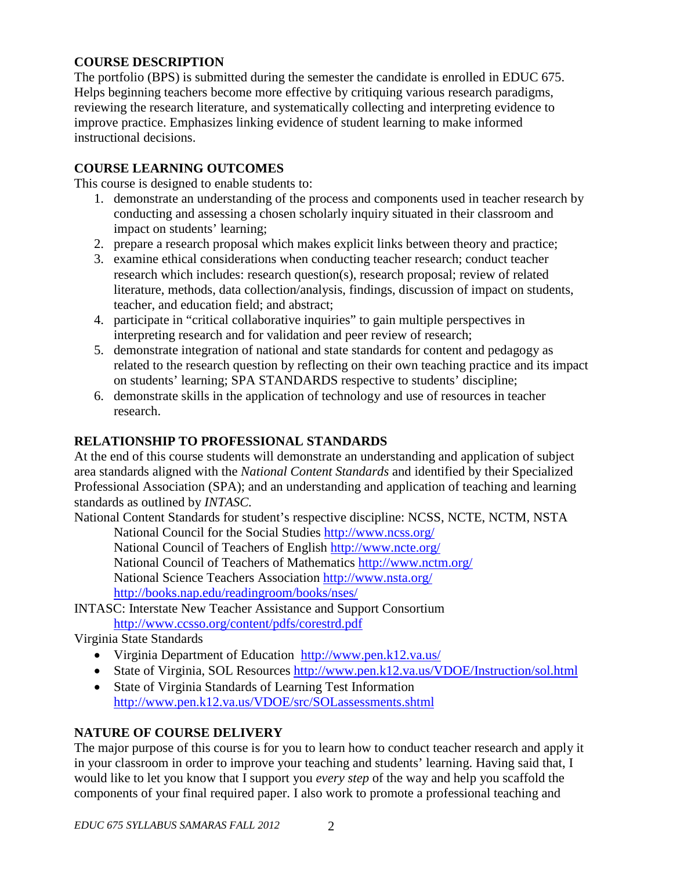### **COURSE DESCRIPTION**

The portfolio (BPS) is submitted during the semester the candidate is enrolled in EDUC 675. Helps beginning teachers become more effective by critiquing various research paradigms, reviewing the research literature, and systematically collecting and interpreting evidence to improve practice. Emphasizes linking evidence of student learning to make informed instructional decisions.

#### **COURSE LEARNING OUTCOMES**

This course is designed to enable students to:

- 1. demonstrate an understanding of the process and components used in teacher research by conducting and assessing a chosen scholarly inquiry situated in their classroom and impact on students' learning;
- 2. prepare a research proposal which makes explicit links between theory and practice;
- 3. examine ethical considerations when conducting teacher research; conduct teacher research which includes: research question(s), research proposal; review of related literature, methods, data collection/analysis, findings, discussion of impact on students, teacher, and education field; and abstract;
- 4. participate in "critical collaborative inquiries" to gain multiple perspectives in interpreting research and for validation and peer review of research;
- 5. demonstrate integration of national and state standards for content and pedagogy as related to the research question by reflecting on their own teaching practice and its impact on students' learning; SPA STANDARDS respective to students' discipline;
- 6. demonstrate skills in the application of technology and use of resources in teacher research.

### **RELATIONSHIP TO PROFESSIONAL STANDARDS**

At the end of this course students will demonstrate an understanding and application of subject area standards aligned with the *National Content Standards* and identified by their Specialized Professional Association (SPA); and an understanding and application of teaching and learning standards as outlined by *INTASC.*

National Content Standards for student's respective discipline: NCSS, NCTE, NCTM, NSTA

National Council for the Social Studies<http://www.ncss.org/> National Council of Teachers of English<http://www.ncte.org/> National Council of Teachers of Mathematics<http://www.nctm.org/> National Science Teachers Association<http://www.nsta.org/> <http://books.nap.edu/readingroom/books/nses/>

[INTASC: Interstate New Teacher Assistance and Support Consortium](http://www.ccsso.org/content/pdfs/corestrd.pdf) <http://www.ccsso.org/content/pdfs/corestrd.pdf>

Virginia State Standards

- [Virginia Department of Education http://www.pen.k12.va.us/](http://www.pen.k12.va.us/)
- State of Virginia, SOL Resources<http://www.pen.k12.va.us/VDOE/Instruction/sol.html>
- State of Virginia Standards of Learning Test Information <http://www.pen.k12.va.us/VDOE/src/SOLassessments.shtml>

### **NATURE OF COURSE DELIVERY**

The major purpose of this course is for you to learn how to conduct teacher research and apply it in your classroom in order to improve your teaching and students' learning. Having said that, I would like to let you know that I support you *every step* of the way and help you scaffold the components of your final required paper. I also work to promote a professional teaching and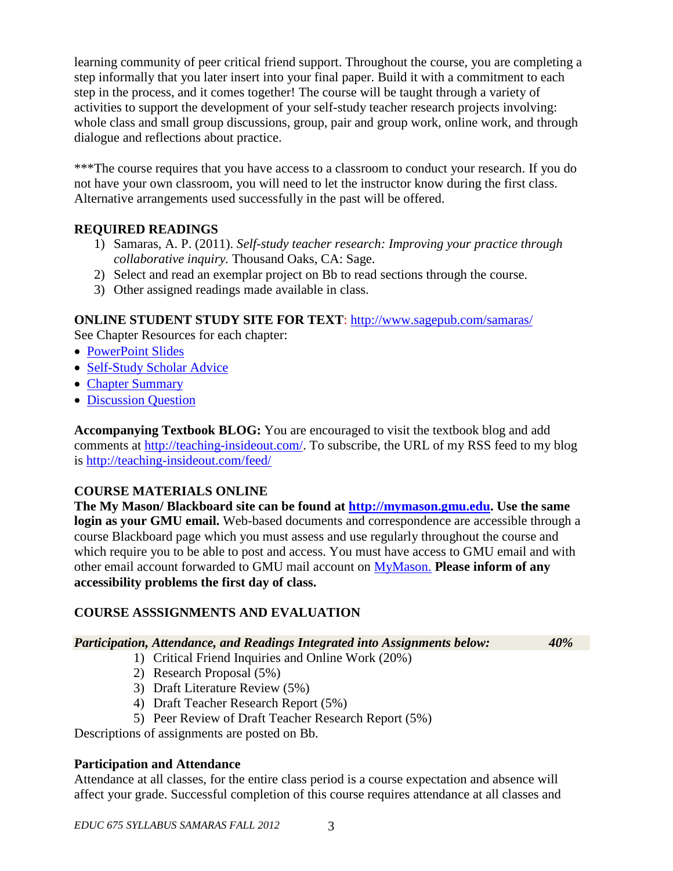learning community of peer critical friend support. Throughout the course, you are completing a step informally that you later insert into your final paper. Build it with a commitment to each step in the process, and it comes together! The course will be taught through a variety of activities to support the development of your self-study teacher research projects involving: whole class and small group discussions, group, pair and group work, online work, and through dialogue and reflections about practice.

\*\*\*The course requires that you have access to a classroom to conduct your research. If you do not have your own classroom, you will need to let the instructor know during the first class. Alternative arrangements used successfully in the past will be offered.

## **REQUIRED READINGS**

- 1) Samaras, A. P. (2011). *Self-study teacher research: Improving your practice through collaborative inquiry.* Thousand Oaks, CA: Sage.
- 2) Select and read an exemplar project on Bb to read sections through the course.
- 3) Other assigned readings made available in class.

## **ONLINE STUDENT STUDY SITE FOR TEXT**:<http://www.sagepub.com/samaras/>

See Chapter Resources for each chapter:

- [PowerPoint Slides](http://www.sagepub.com/samaras/chapters/PPTs/Ch01PPT.ppt)
- [Self-Study Scholar Advice](http://www.sagepub.com/samaras/chapters/Scholar%20Advice/Ch01ScholarAdvice.pdf)
- [Chapter Summary](http://www.sagepub.com/samaras/chapters/Chapter%20Summaries/Ch01Description.pdf)
- [Discussion Question](http://www.sagepub.com/samaras/chapters/Discussion%20Questions%20and%20Classroom%20Activities/Ch01Discussion.doc)

**Accompanying Textbook BLOG:** You are encouraged to visit the textbook blog and add comments at [http://teaching-insideout.com/.](http://teaching-insideout.com/) To subscribe, the URL of my RSS feed to my blog is<http://teaching-insideout.com/feed/>

## **COURSE MATERIALS ONLINE**

**The My Mason/ Blackboard site can be found at [http://mymason.gmu.edu.](http://mymason.gmu.edu/) Use the same login as your GMU email.** Web-based documents and correspondence are accessible through a course Blackboard page which you must assess and use regularly throughout the course and which require you to be able to post and access. You must have access to GMU email and with other email account forwarded to GMU mail account on [MyMason.](https://mymasonportal.gmu.edu/webapps/portal/frameset.jsp) **Please inform of any accessibility problems the first day of class.**

## **COURSE ASSSIGNMENTS AND EVALUATION**

### *Participation, Attendance, and Readings Integrated into Assignments below: 40%*

- 1) Critical Friend Inquiries and Online Work (20%)
- 2) Research Proposal (5%)
- 3) Draft Literature Review (5%)
- 4) Draft Teacher Research Report (5%)
- 5) Peer Review of Draft Teacher Research Report (5%)

Descriptions of assignments are posted on Bb.

### **Participation and Attendance**

Attendance at all classes, for the entire class period is a course expectation and absence will affect your grade. Successful completion of this course requires attendance at all classes and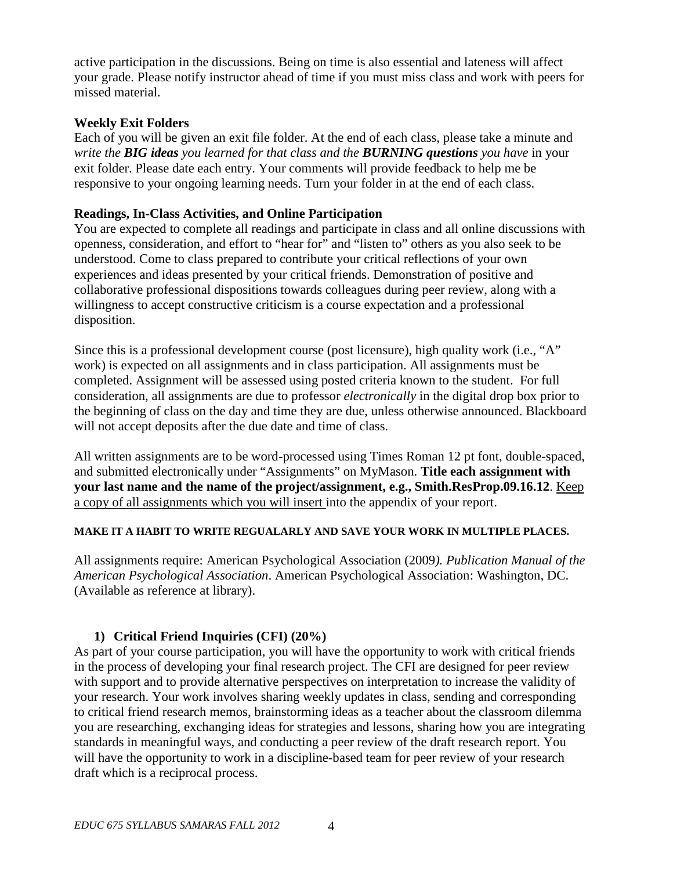active participation in the discussions. Being on time is also essential and lateness will affect your grade. Please notify instructor ahead of time if you must miss class and work with peers for missed material.

#### **Weekly Exit Folders**

Each of you will be given an exit file folder. At the end of each class, please take a minute and *write the BIG ideas you learned for that class and the BURNING questions you have* in your exit folder. Please date each entry. Your comments will provide feedback to help me be responsive to your ongoing learning needs. Turn your folder in at the end of each class.

#### **Readings, In-Class Activities, and Online Participation**

You are expected to complete all readings and participate in class and all online discussions with openness, consideration, and effort to "hear for" and "listen to" others as you also seek to be understood. Come to class prepared to contribute your critical reflections of your own experiences and ideas presented by your critical friends. Demonstration of positive and collaborative professional dispositions towards colleagues during peer review, along with a willingness to accept constructive criticism is a course expectation and a professional disposition.

Since this is a professional development course (post licensure), high quality work (i.e., "A" work) is expected on all assignments and in class participation. All assignments must be completed. Assignment will be assessed using posted criteria known to the student. For full consideration, all assignments are due to professor *electronically* in the digital drop box prior to the beginning of class on the day and time they are due, unless otherwise announced. Blackboard will not accept deposits after the due date and time of class.

All written assignments are to be word-processed using Times Roman 12 pt font, double-spaced, and submitted electronically under "Assignments" on MyMason. **Title each assignment with your last name and the name of the project/assignment, e.g., Smith.ResProp.09.16.12**. Keep a copy of all assignments which you will insert into the appendix of your report.

#### **MAKE IT A HABIT TO WRITE REGUALARLY AND SAVE YOUR WORK IN MULTIPLE PLACES.**

All assignments require: American Psychological Association (2009*). Publication Manual of the American Psychological Association*. American Psychological Association: Washington, DC. (Available as reference at library).

### **1) Critical Friend Inquiries (CFI) (20%)**

As part of your course participation, you will have the opportunity to work with critical friends in the process of developing your final research project. The CFI are designed for peer review with support and to provide alternative perspectives on interpretation to increase the validity of your research. Your work involves sharing weekly updates in class, sending and corresponding to critical friend research memos, brainstorming ideas as a teacher about the classroom dilemma you are researching, exchanging ideas for strategies and lessons, sharing how you are integrating standards in meaningful ways, and conducting a peer review of the draft research report. You will have the opportunity to work in a discipline-based team for peer review of your research draft which is a reciprocal process.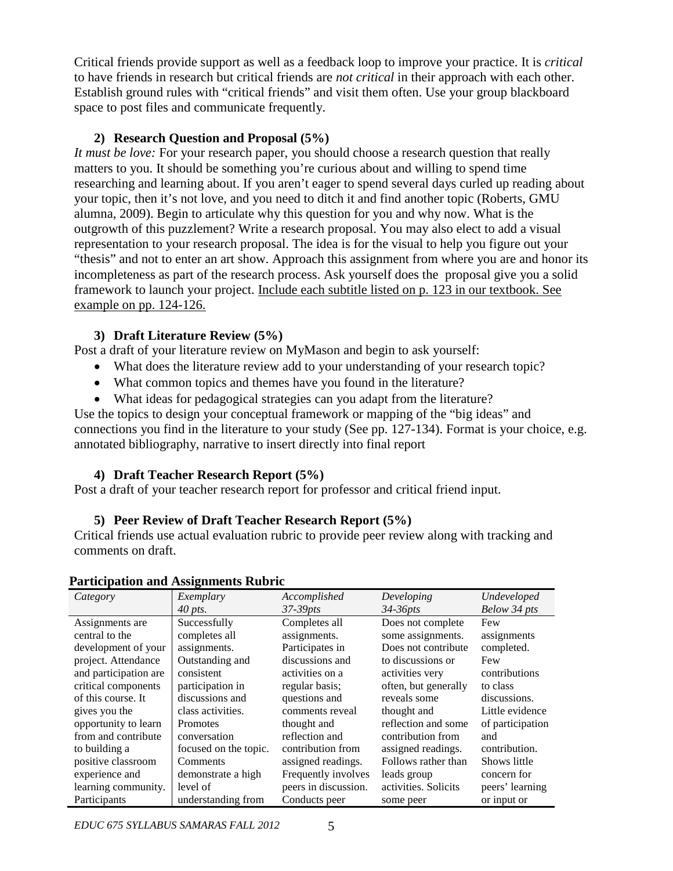Critical friends provide support as well as a feedback loop to improve your practice. It is *critical* to have friends in research but critical friends are *not critical* in their approach with each other. Establish ground rules with "critical friends" and visit them often. Use your group blackboard space to post files and communicate frequently.

### **2) Research Question and Proposal (5%)**

*It must be love:* For your research paper, you should choose a research question that really matters to you. It should be something you're curious about and willing to spend time researching and learning about. If you aren't eager to spend several days curled up reading about your topic, then it's not love, and you need to ditch it and find another topic (Roberts, GMU alumna, 2009). Begin to articulate why this question for you and why now. What is the outgrowth of this puzzlement? Write a research proposal. You may also elect to add a visual representation to your research proposal. The idea is for the visual to help you figure out your "thesis" and not to enter an art show. Approach this assignment from where you are and honor its incompleteness as part of the research process. Ask yourself does the proposal give you a solid framework to launch your project. Include each subtitle listed on p. 123 in our textbook. See example on pp. 124-126.

## **3) Draft Literature Review (5%)**

Post a draft of your literature review on MyMason and begin to ask yourself:

- What does the literature review add to your understanding of your research topic?
- What common topics and themes have you found in the literature?
- What ideas for pedagogical strategies can you adapt from the literature?

Use the topics to design your conceptual framework or mapping of the "big ideas" and connections you find in the literature to your study (See pp. 127-134). Format is your choice, e.g. annotated bibliography, narrative to insert directly into final report

### **4) Draft Teacher Research Report (5%)**

Post a draft of your teacher research report for professor and critical friend input.

### **5) Peer Review of Draft Teacher Research Report (5%)**

Critical friends use actual evaluation rubric to provide peer review along with tracking and comments on draft.

| Category              | Exemplary             | Accomplished         | Developing           | Undeveloped      |
|-----------------------|-----------------------|----------------------|----------------------|------------------|
|                       | $40$ pts.             | $37-39pts$           | $34-36pts$           | Below 34 pts     |
| Assignments are       | Successfully          | Completes all        | Does not complete    | Few              |
| central to the        | completes all         | assignments.         | some assignments.    | assignments      |
| development of your   | assignments.          | Participates in      | Does not contribute  | completed.       |
| project. Attendance   | Outstanding and       | discussions and      | to discussions or    | Few              |
| and participation are | consistent            | activities on a      | activities very      | contributions    |
| critical components   | participation in      | regular basis;       | often, but generally | to class         |
| of this course. It    | discussions and       | questions and        | reveals some         | discussions.     |
| gives you the         | class activities.     | comments reveal      | thought and          | Little evidence  |
| opportunity to learn  | <b>Promotes</b>       | thought and          | reflection and some  | of participation |
| from and contribute   | conversation          | reflection and       | contribution from    | and              |
| to building a         | focused on the topic. | contribution from    | assigned readings.   | contribution.    |
| positive classroom    | Comments              | assigned readings.   | Follows rather than  | Shows little     |
| experience and        | demonstrate a high    | Frequently involves  | leads group          | concern for      |
| learning community.   | level of              | peers in discussion. | activities. Solicits | peers' learning  |
| Participants          | understanding from    | Conducts peer        | some peer            | or input or      |

#### **Participation and Assignments Rubric**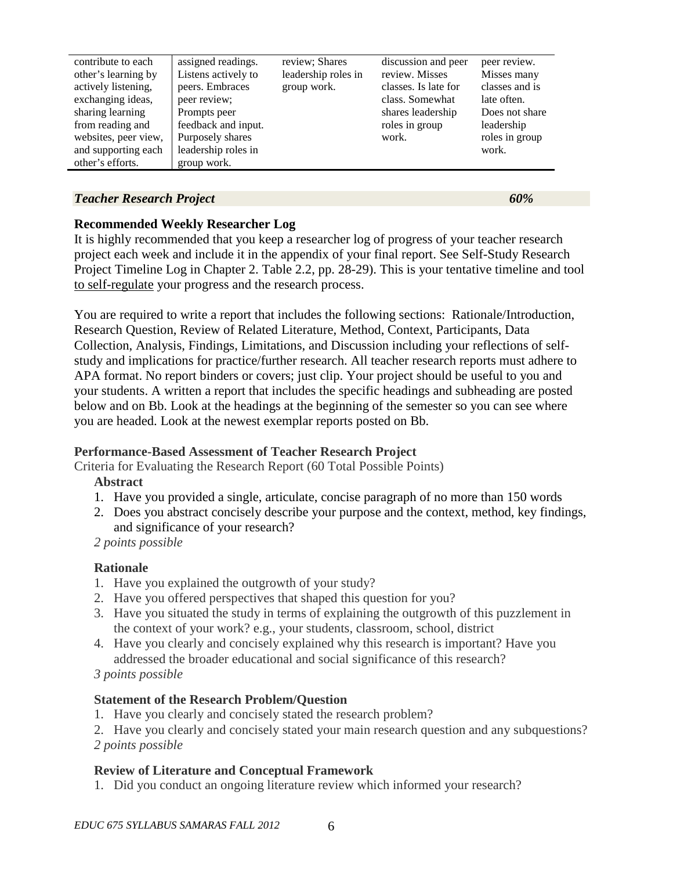| contribute to each   | assigned readings.  | review; Shares      | discussion and peer  | peer review.   |
|----------------------|---------------------|---------------------|----------------------|----------------|
| other's learning by  | Listens actively to | leadership roles in | review. Misses       | Misses many    |
| actively listening,  | peers. Embraces     | group work.         | classes. Is late for | classes and is |
| exchanging ideas,    | peer review;        |                     | class. Somewhat      | late often.    |
| sharing learning     | Prompts peer        |                     | shares leadership    | Does not share |
| from reading and     | feedback and input. |                     | roles in group       | leadership     |
| websites, peer view, | Purposely shares    |                     | work.                | roles in group |
| and supporting each  | leadership roles in |                     |                      | work.          |
| other's efforts.     | group work.         |                     |                      |                |

#### *Teacher Research Project 60%*

**Recommended Weekly Researcher Log**

It is highly recommended that you keep a researcher log of progress of your teacher research project each week and include it in the appendix of your final report. See Self-Study Research Project Timeline Log in Chapter 2. Table 2.2, pp. 28-29). This is your tentative timeline and tool to self-regulate your progress and the research process.

You are required to write a report that includes the following sections: Rationale/Introduction, Research Question, Review of Related Literature, Method, Context, Participants, Data Collection, Analysis, Findings, Limitations, and Discussion including your reflections of selfstudy and implications for practice/further research. All teacher research reports must adhere to APA format. No report binders or covers; just clip. Your project should be useful to you and your students. A written a report that includes the specific headings and subheading are posted below and on Bb. Look at the headings at the beginning of the semester so you can see where you are headed. Look at the newest exemplar reports posted on Bb.

### **Performance-Based Assessment of Teacher Research Project**

Criteria for Evaluating the Research Report (60 Total Possible Points)

### **Abstract**

- 1. Have you provided a single, articulate, concise paragraph of no more than 150 words
- 2. Does you abstract concisely describe your purpose and the context, method, key findings, and significance of your research?

 *2 points possible*

## **Rationale**

- 1. Have you explained the outgrowth of your study?
- 2. Have you offered perspectives that shaped this question for you?
- 3. Have you situated the study in terms of explaining the outgrowth of this puzzlement in the context of your work? e.g., your students, classroom, school, district
- 4. Have you clearly and concisely explained why this research is important? Have you addressed the broader educational and social significance of this research?

 *3 points possible*

## **Statement of the Research Problem/Question**

1. Have you clearly and concisely stated the research problem?

2. Have you clearly and concisely stated your main research question and any subquestions? *2 points possible*

## **Review of Literature and Conceptual Framework**

1. Did you conduct an ongoing literature review which informed your research?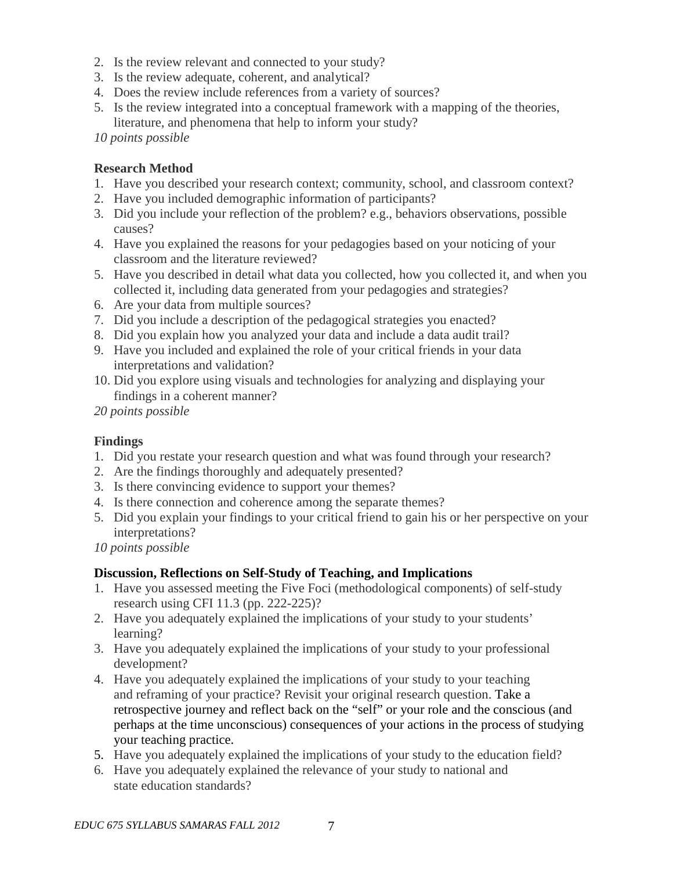- 2. Is the review relevant and connected to your study?
- 3. Is the review adequate, coherent, and analytical?
- 4. Does the review include references from a variety of sources?
- 5. Is the review integrated into a conceptual framework with a mapping of the theories, literature, and phenomena that help to inform your study?

*10 points possible*

#### **Research Method**

- 1. Have you described your research context; community, school, and classroom context?
- 2. Have you included demographic information of participants?
- 3. Did you include your reflection of the problem? e.g., behaviors observations, possible causes?
- 4. Have you explained the reasons for your pedagogies based on your noticing of your classroom and the literature reviewed?
- 5. Have you described in detail what data you collected, how you collected it, and when you collected it, including data generated from your pedagogies and strategies?
- 6. Are your data from multiple sources?
- 7. Did you include a description of the pedagogical strategies you enacted?
- 8. Did you explain how you analyzed your data and include a data audit trail?
- 9. Have you included and explained the role of your critical friends in your data interpretations and validation?
- 10. Did you explore using visuals and technologies for analyzing and displaying your findings in a coherent manner?

*20 points possible*

#### **Findings**

- 1. Did you restate your research question and what was found through your research?
- 2. Are the findings thoroughly and adequately presented?
- 3. Is there convincing evidence to support your themes?
- 4. Is there connection and coherence among the separate themes?
- 5. Did you explain your findings to your critical friend to gain his or her perspective on your interpretations?

*10 points possible*

### **Discussion, Reflections on Self-Study of Teaching, and Implications**

- 1. Have you assessed meeting the Five Foci (methodological components) of self-study research using CFI 11.3 (pp. 222-225)?
- 2. Have you adequately explained the implications of your study to your students' learning?
- 3. Have you adequately explained the implications of your study to your professional development?
- 4. Have you adequately explained the implications of your study to your teaching and reframing of your practice? Revisit your original research question. Take a retrospective journey and reflect back on the "self" or your role and the conscious (and perhaps at the time unconscious) consequences of your actions in the process of studying your teaching practice.
- 5. Have you adequately explained the implications of your study to the education field?
- 6. Have you adequately explained the relevance of your study to national and state education standards?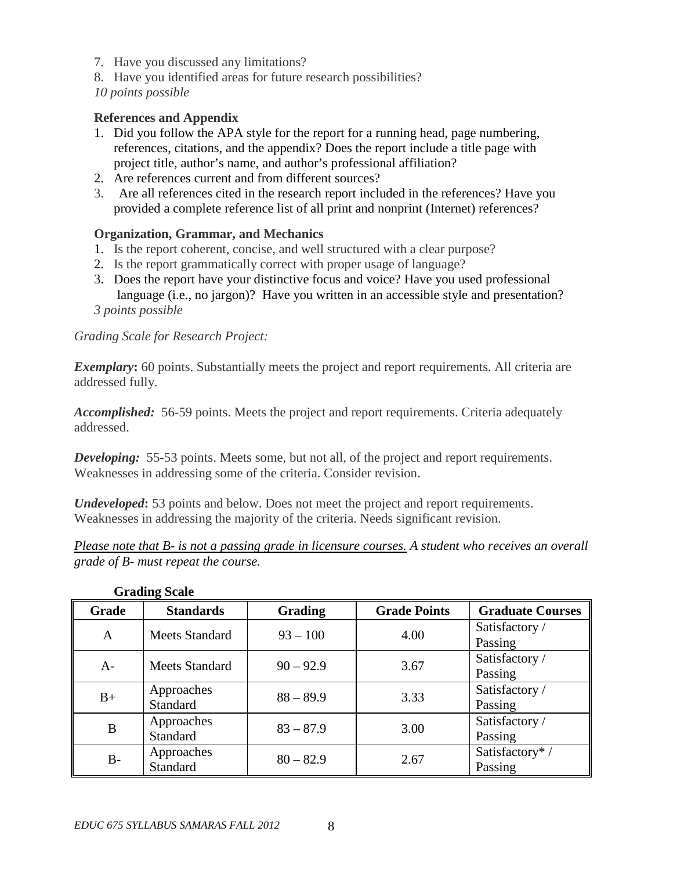- 7. Have you discussed any limitations?
- 8. Have you identified areas for future research possibilities?

*10 points possible*

### **References and Appendix**

- 1. Did you follow the APA style for the report for a running head, page numbering, references, citations, and the appendix? Does the report include a title page with project title, author's name, and author's professional affiliation?
- 2. Are references current and from different sources?
- 3. Are all references cited in the research report included in the references? Have you provided a complete reference list of all print and nonprint (Internet) references?

## **Organization, Grammar, and Mechanics**

- 1. Is the report coherent, concise, and well structured with a clear purpose?
- 2. Is the report grammatically correct with proper usage of language?
- 3. Does the report have your distinctive focus and voice? Have you used professional language (i.e., no jargon)? Have you written in an accessible style and presentation? *3 points possible*

## *Grading Scale for Research Project:*

**Exemplary:** 60 points. Substantially meets the project and report requirements. All criteria are addressed fully.

*Accomplished:* 56-59 points. Meets the project and report requirements. Criteria adequately addressed.

**Developing:** 55-53 points. Meets some, but not all, of the project and report requirements. Weaknesses in addressing some of the criteria. Consider revision.

*Undeveloped*: 53 points and below. Does not meet the project and report requirements. Weaknesses in addressing the majority of the criteria. Needs significant revision.

*Please note that B- is not a passing grade in licensure courses. A student who receives an overall grade of B- must repeat the course.* 

| Grade | <b>Standards</b>      | <b>Grading</b> | <b>Grade Points</b> | <b>Graduate Courses</b> |
|-------|-----------------------|----------------|---------------------|-------------------------|
| A     | <b>Meets Standard</b> | $93 - 100$     | 4.00                | Satisfactory /          |
|       |                       |                |                     | Passing                 |
| A-    | Meets Standard        | $90 - 92.9$    | 3.67                | Satisfactory /          |
|       |                       |                |                     | Passing                 |
| $B+$  | Approaches            | $88 - 89.9$    | 3.33                | Satisfactory/           |
|       | Standard              |                |                     | Passing                 |
| B     | Approaches            | $83 - 87.9$    | 3.00                | Satisfactory /          |
|       | Standard              |                |                     | Passing                 |
| $B-$  | Approaches            | $80 - 82.9$    | 2.67                | Satisfactory*/          |
|       | Standard              |                |                     | Passing                 |

#### **Grading Scale**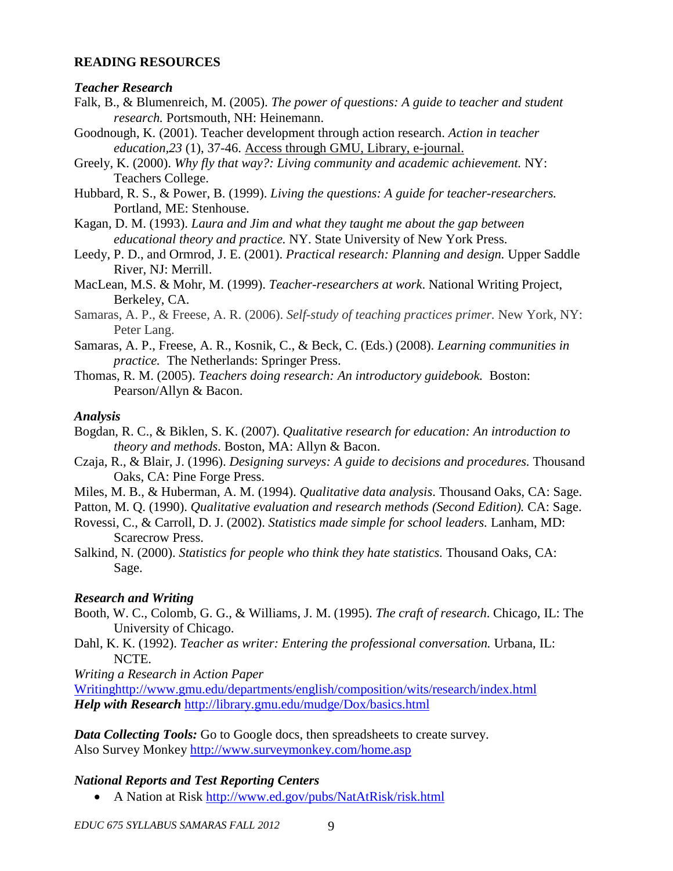#### **READING RESOURCES**

#### *Teacher Research*

- Falk, B., & Blumenreich, M. (2005). *The power of questions: A guide to teacher and student research.* Portsmouth, NH: Heinemann.
- Goodnough, K. (2001). Teacher development through action research. *Action in teacher education,23* (1), 37-46. Access through GMU, Library, e-journal.
- Greely, K. (2000). *Why fly that way?: Living community and academic achievement.* NY: Teachers College.
- Hubbard, R. S., & Power, B. (1999). *Living the questions: A guide for teacher-researchers.*  Portland, ME: Stenhouse.
- Kagan, D. M. (1993). *Laura and Jim and what they taught me about the gap between educational theory and practice.* NY. State University of New York Press.
- Leedy, P. D., and Ormrod, J. E. (2001). *Practical research: Planning and design.* Upper Saddle River, NJ: Merrill.
- MacLean, M.S. & Mohr, M. (1999). *Teacher-researchers at work*. National Writing Project, Berkeley, CA.
- Samaras, A. P., & Freese, A. R. (2006). *Self-study of teaching practices primer.* New York, NY: Peter Lang.
- Samaras, A. P., Freese, A. R., Kosnik, C., & Beck, C. (Eds.) (2008). *Learning communities in practice.* The Netherlands: Springer Press.
- Thomas, R. M. (2005). *Teachers doing research: An introductory guidebook.* Boston: Pearson/Allyn & Bacon.

#### *Analysis*

Bogdan, R. C., & Biklen, S. K. (2007). *Qualitative research for education: An introduction to theory and methods*. Boston, MA: Allyn & Bacon.

- Czaja, R., & Blair, J. (1996). *Designing surveys: A guide to decisions and procedures.* Thousand Oaks, CA: Pine Forge Press.
- Miles, M. B., & Huberman, A. M. (1994). *Qualitative data analysis*. Thousand Oaks, CA: Sage.

Patton, M. Q. (1990). *Qualitative evaluation and research methods (Second Edition)*. CA: Sage.

- Rovessi, C., & Carroll, D. J. (2002). *Statistics made simple for school leaders.* Lanham, MD: Scarecrow Press.
- Salkind, N. (2000). *Statistics for people who think they hate statistics.* Thousand Oaks, CA: Sage.

### *Research and Writing*

- Booth, W. C., Colomb, G. G., & Williams, J. M. (1995). *The craft of research*. Chicago, IL: The University of Chicago.
- Dahl, K. K. (1992). *Teacher as writer: Entering the professional conversation*. Urbana, IL: NCTE.

*Writing a Research in Action Paper*

[Writinghttp://www.gmu.edu/departments/english/composition/wits/research/index.html](http://www.gmu.edu/departments/english/composition/wits/research/index.html) *Help with Research* <http://library.gmu.edu/mudge/Dox/basics.html>

*Data Collecting Tools:* Go to Google docs, then spreadsheets to create survey. Also Survey Monkey<http://www.surveymonkey.com/home.asp>

### *National Reports and Test Reporting Centers*

• A Nation at Risk<http://www.ed.gov/pubs/NatAtRisk/risk.html>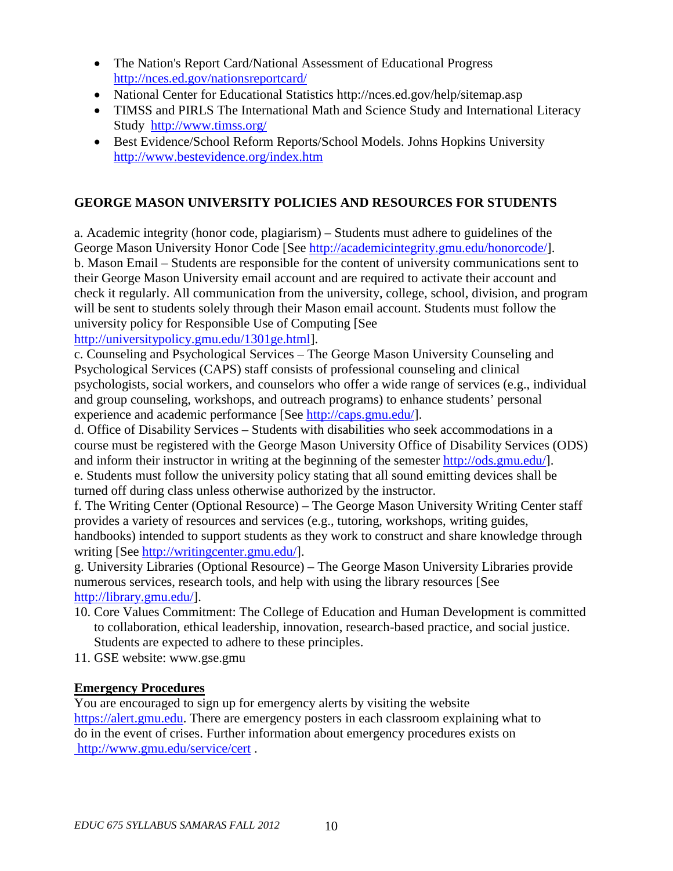- [The Nation's Report Card/](http://nces.ed.gov/nationsreportcard/)National Assessment of Educational Progress <http://nces.ed.gov/nationsreportcard/>
- National Center for Educational Statistics http://nces.ed.gov/help/sitemap.asp
- TIMSS and PIRLS [The International Math and](http://www.timss.org/) Science Study and International Literacy Study <http://www.timss.org/>
- Best Evidence/School Reform Reports/School Models. Johns Hopkins University <http://www.bestevidence.org/index.htm>

## **GEORGE MASON UNIVERSITY POLICIES AND RESOURCES FOR STUDENTS**

a. Academic integrity (honor code, plagiarism) – Students must adhere to guidelines of the George Mason University Honor Code [See http://academicintegrity.gmu.edu/honorcode/]. b. Mason Email – Students are responsible for the content of university communications sent to their George Mason University email account and are required to activate their account and check it regularly. All communication from the university, college, school, division, and program will be sent to students solely through their Mason email account. Students must follow the university policy for Responsible Use of Computing [See http://universitypolicy.gmu.edu/1301ge.html].

c. Counseling and Psychological Services – The George Mason University Counseling and Psychological Services (CAPS) staff consists of professional counseling and clinical psychologists, social workers, and counselors who offer a wide range of services (e.g., individual and group counseling, workshops, and outreach programs) to enhance students' personal experience and academic performance [See http://caps.gmu.edu/].

d. Office of Disability Services – Students with disabilities who seek accommodations in a course must be registered with the George Mason University Office of Disability Services (ODS) and inform their instructor in writing at the beginning of the semester http://ods.gmu.edu/]. e. Students must follow the university policy stating that all sound emitting devices shall be turned off during class unless otherwise authorized by the instructor.

f. The Writing Center (Optional Resource) – The George Mason University Writing Center staff provides a variety of resources and services (e.g., tutoring, workshops, writing guides, handbooks) intended to support students as they work to construct and share knowledge through writing [See http://writingcenter.gmu.edu/].

g. University Libraries (Optional Resource) – The George Mason University Libraries provide numerous services, research tools, and help with using the library resources [See http://library.gmu.edu/].

- 10. Core Values Commitment: The College of Education and Human Development is committed to collaboration, ethical leadership, innovation, research-based practice, and social justice. Students are expected to adhere to these principles.
- 11. GSE website: www.gse.gmu

### **Emergency Procedures**

You are encouraged to sign up for emergency alerts by visiting the website [https://alert.gmu.edu.](https://alert.gmu.edu/) There are emergency posters in each classroom explaining what to do in the event of crises. Further information about emergency procedures exists on <http://www.gmu.edu/service/cert> .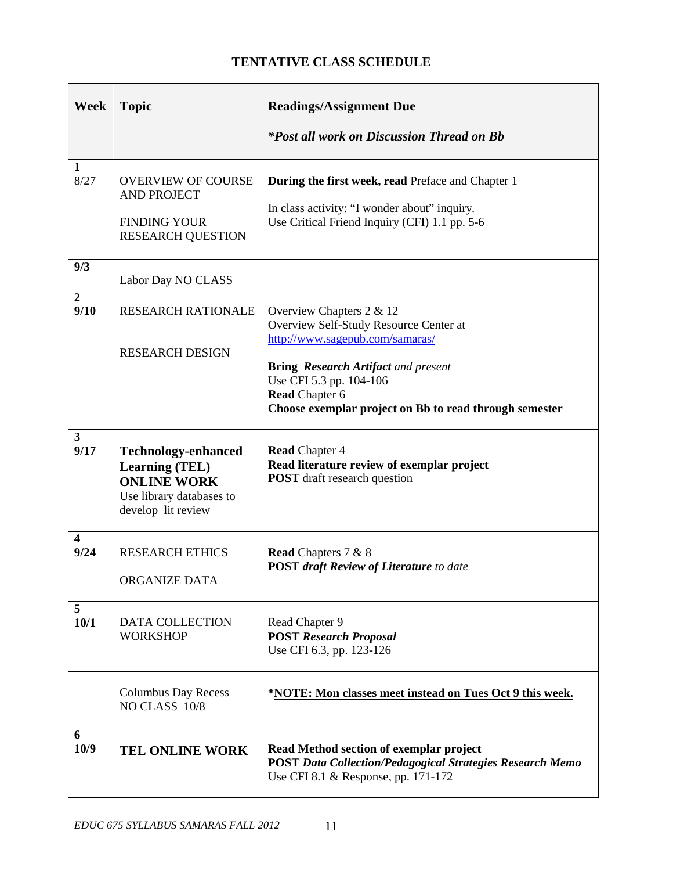# **TENTATIVE CLASS SCHEDULE**

| <b>Week</b>            | <b>Topic</b>                                                                                                                | <b>Readings/Assignment Due</b>                                                                                                                                                                                                                                      |
|------------------------|-----------------------------------------------------------------------------------------------------------------------------|---------------------------------------------------------------------------------------------------------------------------------------------------------------------------------------------------------------------------------------------------------------------|
|                        |                                                                                                                             | <i>*Post all work on Discussion Thread on Bb</i>                                                                                                                                                                                                                    |
| 1<br>8/27              | <b>OVERVIEW OF COURSE</b><br><b>AND PROJECT</b><br><b>FINDING YOUR</b><br><b>RESEARCH QUESTION</b>                          | <b>During the first week, read Preface and Chapter 1</b><br>In class activity: "I wonder about" inquiry.<br>Use Critical Friend Inquiry (CFI) 1.1 pp. 5-6                                                                                                           |
| 9/3                    | Labor Day NO CLASS                                                                                                          |                                                                                                                                                                                                                                                                     |
| $\overline{2}$<br>9/10 | <b>RESEARCH RATIONALE</b><br><b>RESEARCH DESIGN</b>                                                                         | Overview Chapters $2 & 12$<br>Overview Self-Study Resource Center at<br>http://www.sagepub.com/samaras/<br><b>Bring Research Artifact and present</b><br>Use CFI 5.3 pp. 104-106<br><b>Read Chapter 6</b><br>Choose exemplar project on Bb to read through semester |
| $\mathbf{3}$<br>9/17   | <b>Technology-enhanced</b><br><b>Learning (TEL)</b><br><b>ONLINE WORK</b><br>Use library databases to<br>develop lit review | <b>Read Chapter 4</b><br>Read literature review of exemplar project<br><b>POST</b> draft research question                                                                                                                                                          |
| 4<br>9/24              | <b>RESEARCH ETHICS</b><br><b>ORGANIZE DATA</b>                                                                              | <b>Read Chapters 7 &amp; 8</b><br><b>POST draft Review of Literature to date</b>                                                                                                                                                                                    |
| 5<br>10/1              | <b>DATA COLLECTION</b><br><b>WORKSHOP</b>                                                                                   | Read Chapter 9<br><b>POST Research Proposal</b><br>Use CFI 6.3, pp. 123-126                                                                                                                                                                                         |
|                        | <b>Columbus Day Recess</b><br>NO CLASS 10/8                                                                                 | *NOTE: Mon classes meet instead on Tues Oct 9 this week.                                                                                                                                                                                                            |
| 6<br>10/9              | <b>TEL ONLINE WORK</b>                                                                                                      | Read Method section of exemplar project<br><b>POST Data Collection/Pedagogical Strategies Research Memo</b><br>Use CFI 8.1 & Response, pp. 171-172                                                                                                                  |